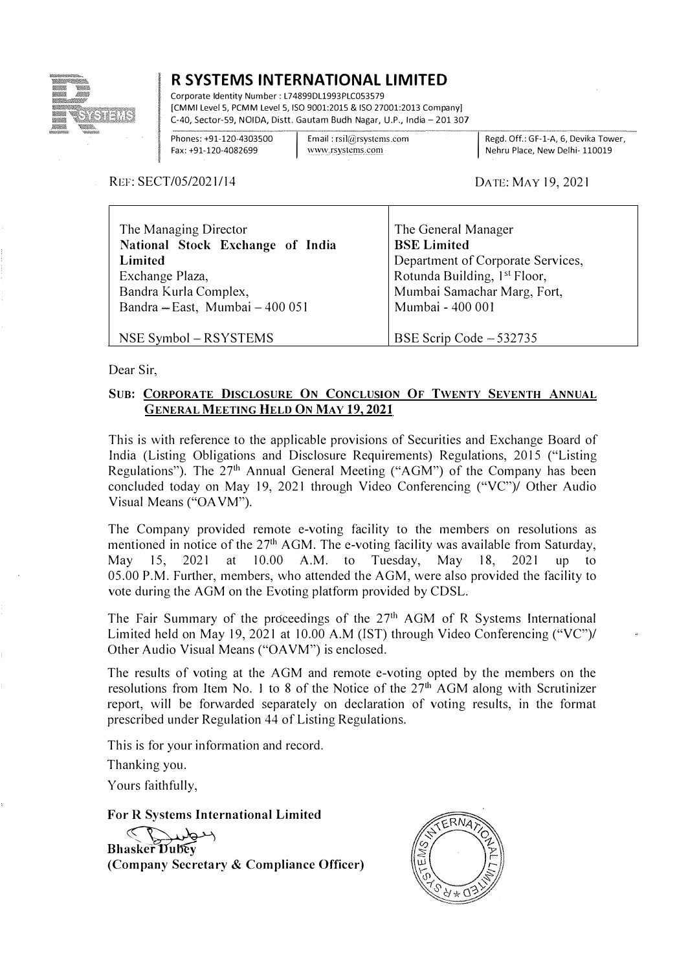

## **R SYSTEMS INTERNATIONAL LIMITED**

Corporate Identity Number: L74899DL1993PLC053579 [CMMI Level 5, PCMM Level 5, ISO 9001:2015 & ISO 27001:2013 Company] C-40, Sector-59, NOIDA, Distt. Gautam Budh Nagar, U.P., India - 201 307

Phones: +91-120-4303500 Fax: +91-120-4082699

<u>..........</u> imail : rsil@rsystems.com<br>www.rsystems.com - · r s i l \_ .

Email : rsil@rsystems.com **I Regd. Off.: GF-1-A, 6, Devika Tower,** Regd. Off.: GF-1-A, 6, Devika Tower, Registems.com

REF: SECT/05/2021/14

DATE: MAY 19, 2021

| The Managing Director            | The General Manager                      |
|----------------------------------|------------------------------------------|
| National Stock Exchange of India | <b>BSE Limited</b>                       |
| Limited                          | Department of Corporate Services,        |
| Exchange Plaza,                  | Rotunda Building, 1 <sup>st</sup> Floor, |
| Bandra Kurla Complex,            | Mumbai Samachar Marg, Fort,              |
| Bandra - East, Mumbai - 400 051  | Mumbai - 400 001                         |
| NSE Symbol - RSYSTEMS            | BSE Scrip Code - 532735                  |

Dear Sir,

## **SUB: CORPORATE DISCLOSURE ON CONCLUSION OF TWENTY SEVENTH ANNUAL GENERAL MEETING HELD ON MAY 19, 2021**

This is with reference to the applicable provisions of Securities and Exchange Board of India (Listing Obligations and Disclosure Requirements) Regulations, 2015 ("Listing Regulations"). The 27<sup>th</sup> Annual General Meeting ("AGM") of the Company has been concluded today on May 19, 2021 through Video Conferencing ("VC")/ Other Audio Visual Means ("OA VM").

The Company provided remote e-voting facility to the members on resolutions as mentioned in notice of the  $27<sup>th</sup>$  AGM. The e-voting facility was available from Saturday, May 15, 2021 at 10.00 A.M. to Tuesday, May 18, 2021 up to 05.00 P.M. Further, members, who attended the AGM, were also provided the facility to vote during the AGM on the Evoting platform provided by CDSL.

The Fair Summary of the proceedings of the  $27<sup>th</sup>$  AGM of R Systems International Limited held on May 19, 2021 at 10.00 A.M (1ST) through Video Conferencing ("VC")/ Other Audio Visual Means ("OA VM") is enclosed.

The results of voting at the AGM and remote e-voting opted by the members on the resolutions from Item No. 1 to 8 of the Notice of the  $27<sup>th</sup>$  AGM along with Scrutinizer report, will be forwarded separately on declaration of voting results, in the format prescribed under Regulation 44 of Listing Regulations.

This is for your information and record.

Thanking you.

Yours faithfully,

**For R Systems International Limited**

بديطربه

**Bhasker Dubey (Company Secretary** & **Compliance Officer)**